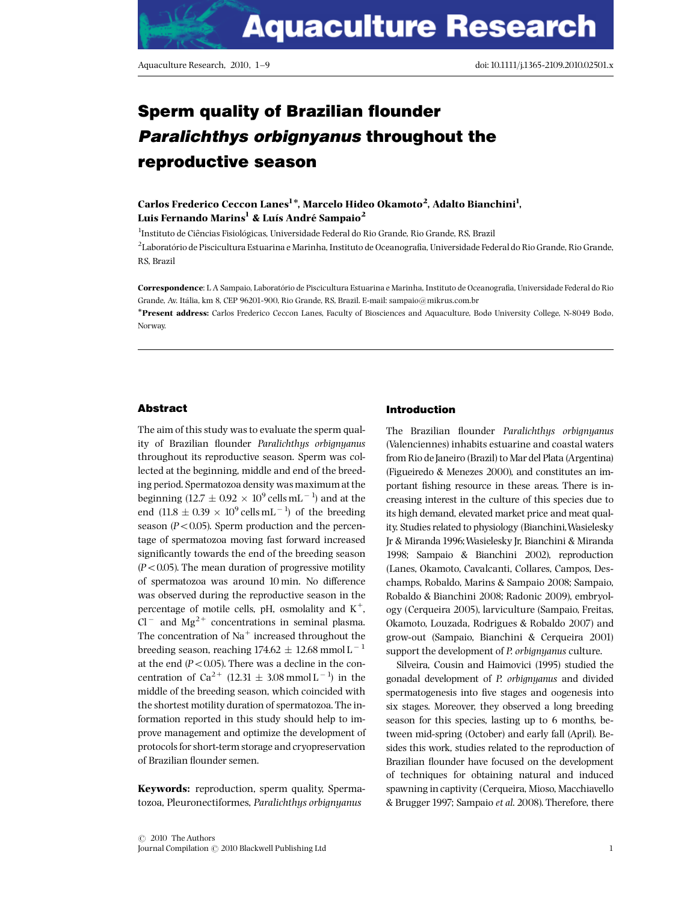# Sperm quality of Brazilian flounder Paralichthys orbignyanus throughout the reproductive season

Carlos Frederico Ceccon Lanes<sup>1</sup>\*, Marcelo Hideo Okamoto<sup>2</sup>, Adalto Bianchini<sup>1</sup>, Luis Fernando Marins<sup>1</sup> & Luís André Sampaio<sup>2</sup>

 $^{\rm l}$ Instituto de Ciências Fisiológicas, Universidade Federal do Rio Grande, Rio Grande, RS, Brazil <sup>2</sup>Laboratório de Piscicultura Estuarina e Marinha, Instituto de Oceanografia, Universidade Federal do Rio Grande, Rio Grande, RS, Brazil

Correspondence: L A Sampaio, Laboratório de Piscicultura Estuarina e Marinha, Instituto de Oceanografia, Universidade Federal do Rio Grande, Av. Itália, km 8, CEP 96201-900, Rio Grande, RS, Brazil. E-mail: [sampaio@mikrus.com.br](mailto:sampaio@mikrus.com.br)

\*Present address: Carlos Frederico Ceccon Lanes, Faculty of Biosciences and Aquaculture, Bodø University College, N-8049 Bodø, [Norway.](mailto:sampaio@mikrus.com.br)

## Abstract

The aim of this study was to evaluate the sperm quality of Brazilian flounder Paralichthys orbignyanus throughout its reproductive season. Sperm was collected at the beginning, middle and end of the breeding period. Spermatozoa density was maximum at the beginning (12.7  $\pm$  0.92  $\times$  10 $^9$  cells mL $^{-1}$ ) and at the end  $(11.8 \pm 0.39 \times 10^{9} \text{ cells mL}^{-1})$  of the breeding season ( $P < 0.05$ ). Sperm production and the percentage of spermatozoa moving fast forward increased significantly towards the end of the breeding season  $(P<0.05)$ . The mean duration of progressive motility of spermatozoa was around 10 min. No difference was observed during the reproductive season in the percentage of motile cells, pH, osmolality and  $K^+$ ,  $Cl^-$  and  $Mg^{2+}$  concentrations in seminal plasma. The concentration of  $Na<sup>+</sup>$  increased throughout the breeding season, reaching 174.62  $\pm$  12.68 mmol L  $^{-1}$ at the end  $(P<0.05)$ . There was a decline in the concentration of  $Ca^{2+}$  (12.31  $\pm$  3.08 mmol L<sup>-1</sup>) in the middle of the breeding season, which coincided with the shortest motility duration of spermatozoa. The information reported in this study should help to improve management and optimize the development of protocols for short-term storage and cryopreservation of Brazilian flounder semen.

Keywords: reproduction, sperm quality, Spermatozoa, Pleuronectiformes, Paralichthys orbignyanus

# Introduction

The Brazilian flounder Paralichthys orbignyanus (Valenciennes) inhabits estuarine and coastal waters from Rio de Janeiro (Brazil) to Mar del Plata (Argentina) (Figueiredo & Menezes 2000), and constitutes an important fishing resource in these areas. There is increasing interest in the culture of this species due to its high demand, elevated market price and meat quality. Studies related to physiology (Bianchini,Wasielesky Jr & Miranda 1996;Wasielesky Jr, Bianchini & Miranda 1998; Sampaio & Bianchini 2002), reproduction (Lanes, Okamoto, Cavalcanti, Collares, Campos, Deschamps, Robaldo, Marins & Sampaio 2008; Sampaio, Robaldo & Bianchini 2008; Radonic 2009), embryology (Cerqueira 2005), larviculture (Sampaio, Freitas, Okamoto, Louzada, Rodrigues & Robaldo 2007) and grow-out (Sampaio, Bianchini & Cerqueira 2001) support the development of P. orbignyanus culture.

Silveira, Cousin and Haimovici (1995) studied the gonadal development of P. orbignyanus and divided spermatogenesis into five stages and oogenesis into six stages. Moreover, they observed a long breeding season for this species, lasting up to 6 months, between mid-spring (October) and early fall (April). Besides this work, studies related to the reproduction of Brazilian flounder have focused on the development of techniques for obtaining natural and induced spawning in captivity (Cerqueira, Mioso, Macchiavello & Brugger 1997; Sampaio et al. 2008). Therefore, there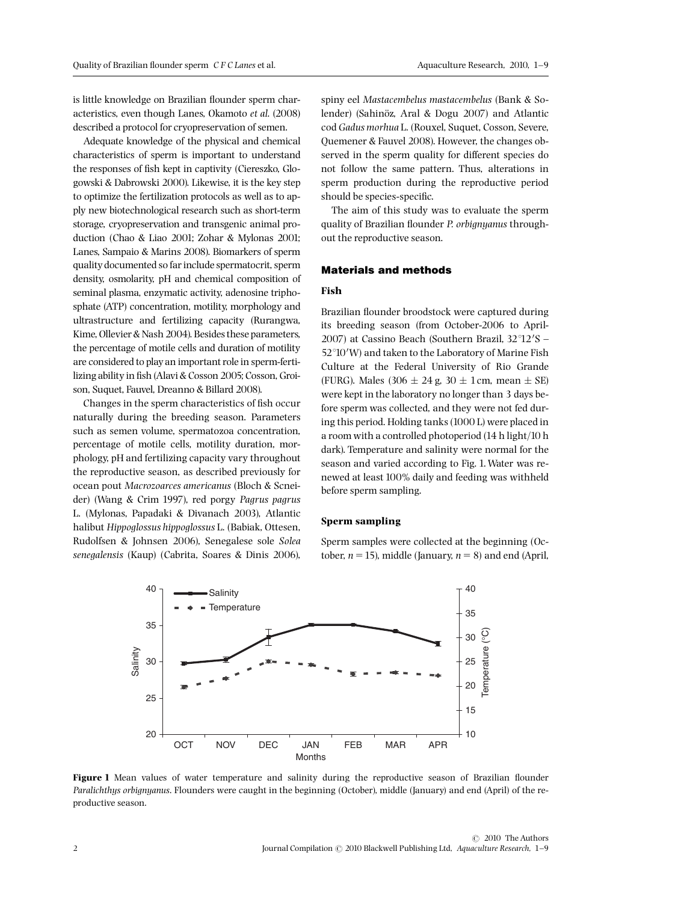is little knowledge on Brazilian flounder sperm characteristics, even though Lanes, Okamoto et al. (2008) described a protocol for cryopreservation of semen.

Adequate knowledge of the physical and chemical characteristics of sperm is important to understand the responses of fish kept in captivity (Ciereszko, Glogowski & Dabrowski 2000). Likewise, it is the key step to optimize the fertilization protocols as well as to apply new biotechnological research such as short-term storage, cryopreservation and transgenic animal production (Chao & Liao 2001; Zohar & Mylonas 2001; Lanes, Sampaio & Marins 2008). Biomarkers of sperm quality documented so far include spermatocrit, sperm density, osmolarity, pH and chemical composition of seminal plasma, enzymatic activity, adenosine triphosphate (ATP) concentration, motility, morphology and ultrastructure and fertilizing capacity (Rurangwa, Kime, Ollevier & Nash 2004). Besides these parameters, the percentage of motile cells and duration of motility are considered to play an important role in sperm-fertilizing ability in fish (Alavi & Cosson 2005; Cosson, Groison, Suquet, Fauvel, Dreanno & Billard 2008).

Changes in the sperm characteristics of fish occur naturally during the breeding season. Parameters such as semen volume, spermatozoa concentration, percentage of motile cells, motility duration, morphology, pH and fertilizing capacity vary throughout the reproductive season, as described previously for ocean pout Macrozoarces americanus (Bloch & Scneider) (Wang & Crim 1997), red porgy Pagrus pagrus L. (Mylonas, Papadaki & Divanach 2003), Atlantic halibut Hippoglossus hippoglossus L. (Babiak, Ottesen, Rudolfsen & Johnsen 2006), Senegalese sole Solea senegalensis (Kaup) (Cabrita, Soares & Dinis 2006), spiny eel Mastacembelus mastacembelus (Bank & Solender) (Sahin˛z, Aral & Dogu 2007) and Atlantic cod Gadus morhua L. (Rouxel, Suquet, Cosson, Severe, Quemener & Fauvel 2008). However, the changes observed in the sperm quality for different species do not follow the same pattern. Thus, alterations in sperm production during the reproductive period should be species-specific.

The aim of this study was to evaluate the sperm quality of Brazilian flounder P. orbignyanus throughout the reproductive season.

## Materials and methods

## Fish

Brazilian flounder broodstock were captured during its breeding season (from October-2006 to April-2007) at Cassino Beach (Southern Brazil,  $32^{\circ}12'S$  -52°10'W) and taken to the Laboratory of Marine Fish Culture at the Federal University of Rio Grande (FURG). Males  $(306 \pm 24 \text{ g}, 30 \pm 1 \text{ cm}, \text{ mean } \pm \text{ SE})$ were kept in the laboratory no longer than 3 days before sperm was collected, and they were not fed during this period. Holding tanks (1000 L) were placed in a room with a controlled photoperiod (14 h light/10 h dark). Temperature and salinity were normal for the season and varied according to Fig. 1.Water was renewed at least 100% daily and feeding was withheld before sperm sampling.

# Sperm sampling

Sperm samples were collected at the beginning (October,  $n = 15$ ), middle (January,  $n = 8$ ) and end (April,



Figure 1 Mean values of water temperature and salinity during the reproductive season of Brazilian flounder Paralichthys orbignyanus. Flounders were caught in the beginning (October), middle (January) and end (April) of the reproductive season.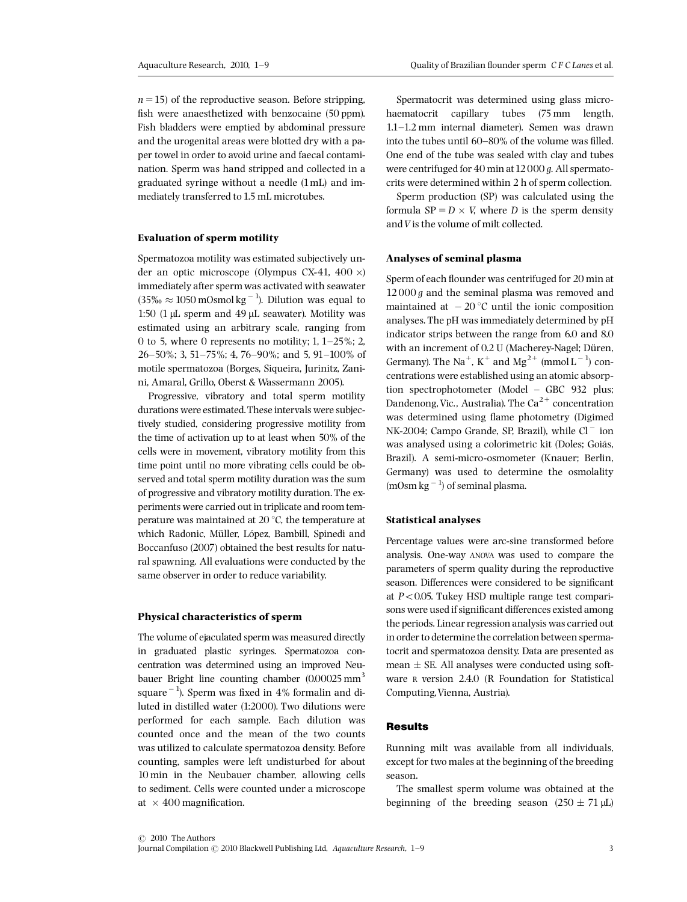$n = 15$ ) of the reproductive season. Before stripping, fish were anaesthetized with benzocaine (50 ppm). Fish bladders were emptied by abdominal pressure and the urogenital areas were blotted dry with a paper towel in order to avoid urine and faecal contamination. Sperm was hand stripped and collected in a graduated syringe without a needle (1mL) and immediately transferred to 1.5 mL microtubes.

#### Evaluation of sperm motility

Spermatozoa motility was estimated subjectively under an optic microscope (Olympus CX-41, 400  $\times$ ) immediately after sperm was activated with seawater  $(35\% \approx 1050 \text{ mOsmol kg}^{-1})$ . Dilution was equal to 1:50 (1  $\mu$ L sperm and 49  $\mu$ L seawater). Motility was estimated using an arbitrary scale, ranging from 0 to 5, where 0 represents no motility;  $1, 1-25\%$ ; 2,  $26-50\%$ ; 3, 51-75%; 4, 76-90%; and 5, 91-100% of motile spermatozoa (Borges, Siqueira, Jurinitz, Zanini, Amaral, Grillo, Oberst & Wassermann 2005).

Progressive, vibratory and total sperm motility durations were estimated.These intervals were subjectively studied, considering progressive motility from the time of activation up to at least when 50% of the cells were in movement, vibratory motility from this time point until no more vibrating cells could be observed and total sperm motility duration was the sum of progressive and vibratory motility duration. The experiments were carried out in triplicate and room temperature was maintained at 20 $\degree$ C, the temperature at which Radonic, Müller, López, Bambill, Spinedi and Boccanfuso (2007) obtained the best results for natural spawning. All evaluations were conducted by the same observer in order to reduce variability.

#### Physical characteristics of sperm

The volume of ejaculated sperm was measured directly in graduated plastic syringes. Spermatozoa concentration was determined using an improved Neubauer Bright line counting chamber  $(0.00025 \text{ mm}^3)$ square $^{\rm -1}$ ). Sperm was fixed in 4% formalin and diluted in distilled water (1:2000). Two dilutions were performed for each sample. Each dilution was counted once and the mean of the two counts was utilized to calculate spermatozoa density. Before counting, samples were left undisturbed for about 10 min in the Neubauer chamber, allowing cells to sediment. Cells were counted under a microscope at  $\times$  400 magnification.

Spermatocrit was determined using glass microhaematocrit capillary tubes (75 mm length, 1.1^1.2 mm internal diameter). Semen was drawn into the tubes until  $60-80%$  of the volume was filled. One end of the tube was sealed with clay and tubes were centrifuged for 40 min at 12000 g. All spermatocrits were determined within 2 h of sperm collection.

Sperm production (SP) was calculated using the formula  $SP = D \times V$ , where D is the sperm density and  $V$  is the volume of milt collected.

## Analyses of seminal plasma

Sperm of each flounder was centrifuged for 20 min at  $12000 g$  and the seminal plasma was removed and maintained at  $-20$  °C until the ionic composition analyses. The pH was immediately determined by pH indicator strips between the range from 6.0 and 8.0 with an increment of 0.2 U (Macherey-Nagel; Düren, Germany). The Na<sup>+</sup>, K<sup>+</sup> and Mg<sup>2+</sup> (mmol L<sup>-1</sup>) concentrations were established using an atomic absorption spectrophotometer (Model - GBC 932 plus; Dandenong, Vic., Australia). The  $Ca^{2+}$  concentration was determined using flame photometry (Digimed NK-2004; Campo Grande, SP, Brazil), while  $Cl^-$  ion was analysed using a colorimetric kit (Doles; Goiás, Brazil). A semi-micro-osmometer (Knauer; Berlin, Germany) was used to determine the osmolality  $(mOsm kg<sup>-1</sup>)$  of seminal plasma.

# Statistical analyses

Percentage values were arc-sine transformed before analysis. One-way ANOVA was used to compare the parameters of sperm quality during the reproductive season. Differences were considered to be significant at  $P < 0.05$ . Tukey HSD multiple range test comparisons were used if significant differences existed among the periods. Linear regression analysis was carried out in order to determine the correlation between spermatocrit and spermatozoa density. Data are presented as mean  $\pm$  SE. All analyses were conducted using software R version 2.4.0 (R Foundation for Statistical Computing,Vienna, Austria).

#### **Results**

Running milt was available from all individuals, except for two males at the beginning of the breeding season.

The smallest sperm volume was obtained at the beginning of the breeding season  $(250 \pm 71 \,\mu\text{L})$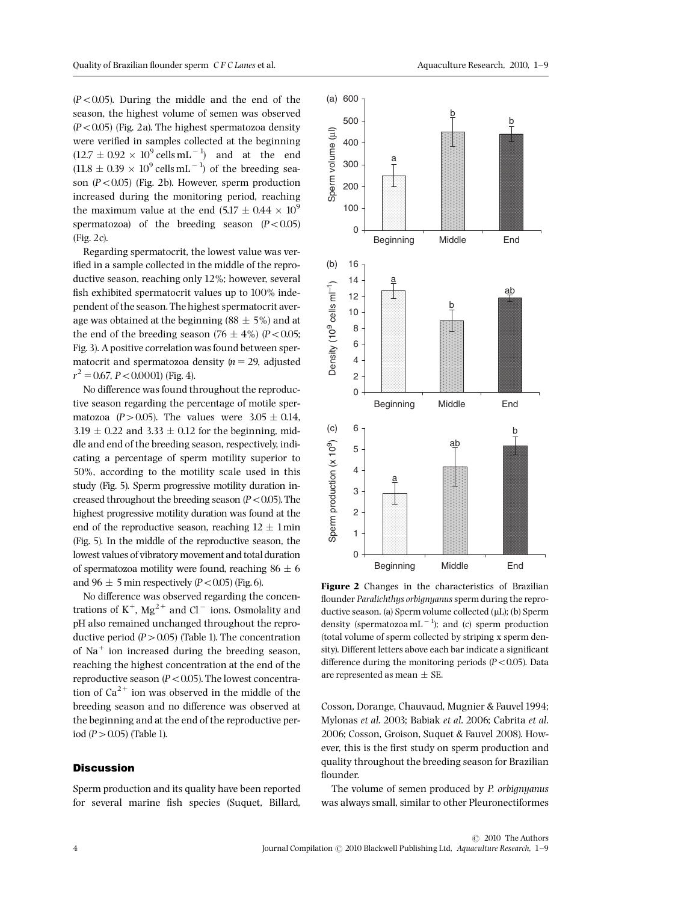$(P<0.05)$ . During the middle and the end of the season, the highest volume of semen was observed  $(P<0.05)$  (Fig. 2a). The highest spermatozoa density were verified in samples collected at the beginning  $(12.7 \pm 0.92 \times 10^{9} \text{ cells mL}^{-1})$  and at the end  $(11.8 \pm 0.39 \times 10^{9} \text{ cells mL}^{-1})$  of the breeding season  $(P<0.05)$  (Fig. 2b). However, sperm production increased during the monitoring period, reaching the maximum value at the end  $(5.17 \pm 0.44 \times 10^9$ spermatozoa) of the breeding season  $(P<0.05)$ (Fig. 2c).

Regarding spermatocrit, the lowest value was verified in a sample collected in the middle of the reproductive season, reaching only 12%; however, several fish exhibited spermatocrit values up to 100% independent of the season.The highest spermatocrit average was obtained at the beginning (88  $\pm$  5%) and at the end of the breeding season  $(76 \pm 4\%)$   $(P<0.05;$ Fig. 3). A positive correlation was found between spermatocrit and spermatozoa density  $(n = 29)$ , adjusted  $r^2 = 0.67$ ,  $P < 0.0001$ ) (Fig. 4).

No difference was found throughout the reproductive season regarding the percentage of motile spermatozoa (P > 0.05). The values were  $3.05 \pm 0.14$ ,  $3.19 \pm 0.22$  and  $3.33 \pm 0.12$  for the beginning, middle and end of the breeding season, respectively, indicating a percentage of sperm motility superior to 50%, according to the motility scale used in this study (Fig. 5). Sperm progressive motility duration increased throughout the breeding season  $(P<0.05)$ . The highest progressive motility duration was found at the end of the reproductive season, reaching  $12 \pm 1$  min (Fig. 5). In the middle of the reproductive season, the lowest values of vibratory movement and total duration of spermatozoa motility were found, reaching  $86 \pm 6$ and 96  $\pm$  5 min respectively (P < 0.05) (Fig. 6).

No difference was observed regarding the concentrations of  $K^+$ , Mg<sup>2+</sup> and Cl<sup>-</sup> ions. Osmolality and pH also remained unchanged throughout the reproductive period  $(P>0.05)$  (Table 1). The concentration of  $Na<sup>+</sup>$  ion increased during the breeding season, reaching the highest concentration at the end of the reproductive season ( $P < 0.05$ ). The lowest concentration of  $Ca^{2+}$  ion was observed in the middle of the breeding season and no difference was observed at the beginning and at the end of the reproductive period  $(P > 0.05)$  (Table 1).

# **Discussion**

Sperm production and its quality have been reported for several marine fish species (Suquet, Billard,



Figure 2 Changes in the characteristics of Brazilian flounder Paralichthys orbignyanus sperm during the reproductive season. (a) Sperm volume collected (µL); (b) Sperm density (spermatozoa mL<sup>-1</sup>); and (c) sperm production (total volume of sperm collected by striping x sperm density). Different letters above each bar indicate a significant difference during the monitoring periods  $(P<0.05)$ . Data are represented as mean  $\pm$  SE.

Cosson, Dorange, Chauvaud, Mugnier & Fauvel 1994; Mylonas et al. 2003; Babiak et al. 2006; Cabrita et al. 2006; Cosson, Groison, Suquet & Fauvel 2008). However, this is the first study on sperm production and quality throughout the breeding season for Brazilian flounder.

The volume of semen produced by P. orbignyanus was always small, similar to other Pleuronectiformes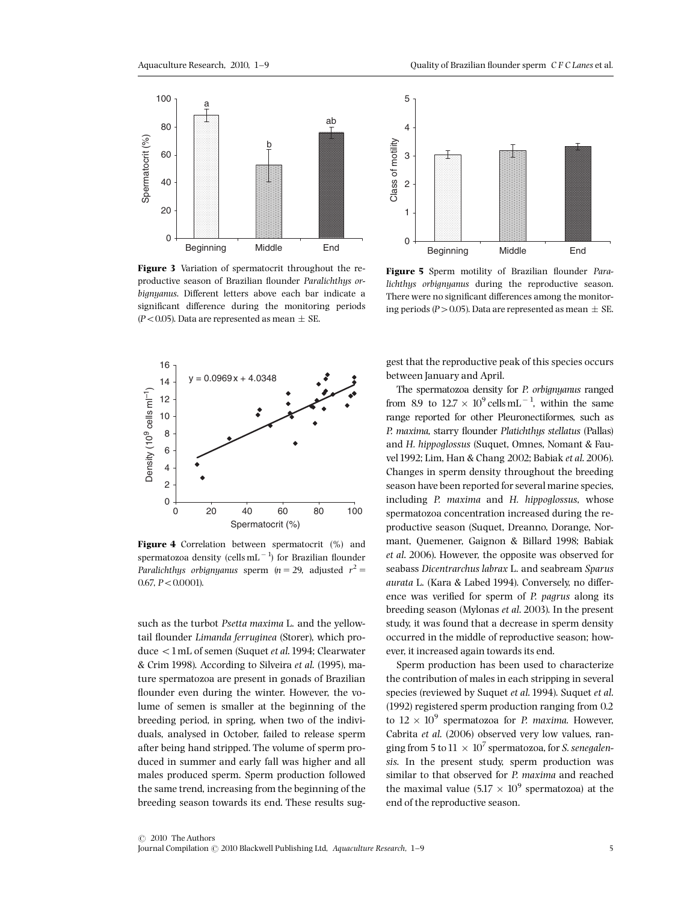

Figure 3 Variation of spermatocrit throughout the reproductive season of Brazilian flounder Paralichthys orbignyanus. Different letters above each bar indicate a significant difference during the monitoring periods  $(P<0.05)$ . Data are represented as mean  $\pm$  SE.



Figure 4 Correlation between spermatocrit (%) and spermatozoa density (cells ${\rm mL^{-1}}$ ) for Brazilian flounder Paralichthys orbignyanus sperm ( $n = 29$ , adjusted  $r^2 =$  $0.67, P < 0.0001$ ).

such as the turbot Psetta maxima L. and the yellowtail flounder Limanda ferruginea (Storer), which produce <1mL of semen (Suquet et al. 1994; Clearwater & Crim 1998). According to Silveira et al. (1995), mature spermatozoa are present in gonads of Brazilian flounder even during the winter. However, the volume of semen is smaller at the beginning of the breeding period, in spring, when two of the individuals, analysed in October, failed to release sperm after being hand stripped. The volume of sperm produced in summer and early fall was higher and all males produced sperm. Sperm production followed the same trend, increasing from the beginning of the breeding season towards its end. These results sug-



Figure 5 Sperm motility of Brazilian flounder Paralichthys orbignyanus during the reproductive season. There were no significant differences among the monitoring periods (P > 0.05). Data are represented as mean  $\pm$  SE.

gest that the reproductive peak of this species occurs between January and April.

The spermatozoa density for P. orbignyanus ranged from 8.9 to  $12.7 \times 10^9$  cells mL<sup>-1</sup>, within the same range reported for other Pleuronectiformes, such as P. maxima, starry flounder Platichthys stellatus (Pallas) and H. hippoglossus (Suquet, Omnes, Nomant & Fauvel1992; Lim, Han & Chang 2002; Babiak et al. 2006). Changes in sperm density throughout the breeding season have been reported for several marine species, including P. maxima and H. hippoglossus, whose spermatozoa concentration increased during the reproductive season (Suquet, Dreanno, Dorange, Normant, Quemener, Gaignon & Billard 1998; Babiak et al. 2006). However, the opposite was observed for seabass Dicentrarchus labrax L. and seabream Sparus aurata L. (Kara & Labed 1994). Conversely, no difference was verified for sperm of P. pagrus along its breeding season (Mylonas et al. 2003). In the present study, it was found that a decrease in sperm density occurred in the middle of reproductive season; however, it increased again towards its end.

Sperm production has been used to characterize the contribution of males in each stripping in several species (reviewed by Suquet et al. 1994). Suquet et al. (1992) registered sperm production ranging from 0.2 to  $12 \times 10^9$  spermatozoa for P. maxima. However, Cabrita et al. (2006) observed very low values, ranging from 5 to  $11 \times 10^7$  spermatozoa, for *S. senegalen*sis. In the present study, sperm production was similar to that observed for P. maxima and reached the maximal value  $(5.17 \times 10^9$  spermatozoa) at the end of the reproductive season.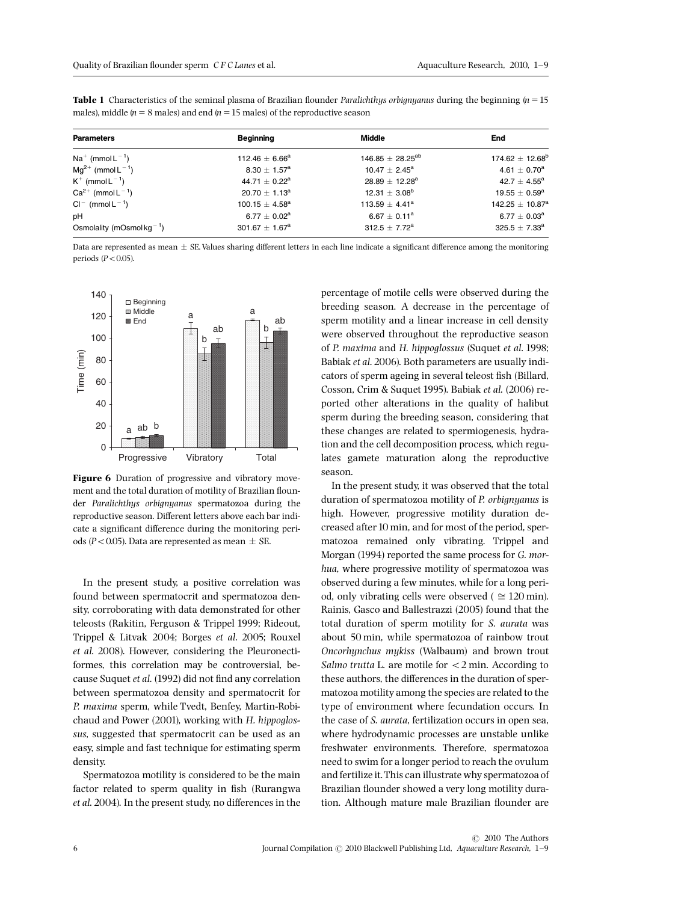pH 6.77  $\pm$ 

 $K^+$  (mmol  $L^{-1}$ )

 $Ca^{2+}$  (mmol  $L^{-1}$ )

Osmolality (mOsmol kg $^{-1}$ )

 $Cl^{-}$  (mmol  $L^{-1}$ )

 $\pm$  3.08<sup>b</sup> 19.55  $\pm$  0.59<sup>a</sup>

 $\pm$  4.41<sup>a</sup> 142.25  $\pm$  10.87<sup>a</sup>

 $\pm$  7.72<sup>a</sup> 325.5  $\pm$  7.33<sup>a</sup>

 $427 + 455^{\circ}$ 

 $6.77 \pm 0.03^a$ 

| males), middle $(n = 8$ males) and end $(n = 15$ males) of the reproductive season |                                |                          |                            |
|------------------------------------------------------------------------------------|--------------------------------|--------------------------|----------------------------|
| <b>Parameters</b>                                                                  | Beginning                      | Middle                   | End                        |
| $Na^+$ (mmol $L^{-1}$ )                                                            | 112.46 $\pm$ 6.66 <sup>a</sup> | $146.85 \pm 28.25^{ab}$  | $174.62 \pm 12.68^{\rm b}$ |
| $Mg^{2+}$ (mmol L <sup>-1</sup> )                                                  | $8.30 \pm 1.57^{\rm a}$        | $10.47 \pm 2.45^{\circ}$ | $4.61 \pm 0.70^a$          |

 $44.71 + 0.22^6$ 

 $20.70 \pm 1.13^{\circ}$ 

 $100.15 + 4.58^6$ 

 $301.67 \pm 1.67^a$ 

 $6.77 \pm 0.02^a$ 

Table 1 Characteristics of the seminal plasma of Brazilian flounder Paralichthys orbignyanus during the beginning  $(n = 15$ 

Data are represented as mean  $\pm$  SE. Values sharing different letters in each line indicate a significant difference among the monitoring periods  $(P<0.05)$ .



Figure 6 Duration of progressive and vibratory movement and the total duration of motility of Brazilian flounder Paralichthys orbignyanus spermatozoa during the reproductive season. Different letters above each bar indicate a significant difference during the monitoring periods (P < 0.05). Data are represented as mean  $\pm$  SE.

In the present study, a positive correlation was found between spermatocrit and spermatozoa density, corroborating with data demonstrated for other teleosts (Rakitin, Ferguson & Trippel 1999; Rideout, Trippel & Litvak 2004; Borges et al. 2005; Rouxel et al. 2008). However, considering the Pleuronectiformes, this correlation may be controversial, because Suquet et al. (1992) did not find any correlation between spermatozoa density and spermatocrit for P. maxima sperm, while Tvedt, Benfey, Martin-Robichaud and Power (2001), working with H. hippoglossus, suggested that spermatocrit can be used as an easy, simple and fast technique for estimating sperm density.

Spermatozoa motility is considered to be the main factor related to sperm quality in fish (Rurangwa et al. 2004). In the present study, no differences in the percentage of motile cells were observed during the breeding season. A decrease in the percentage of sperm motility and a linear increase in cell density were observed throughout the reproductive season of P. maxima and H. hippoglossus (Suquet et al. 1998; Babiak et al. 2006). Both parameters are usually indicators of sperm ageing in several teleost fish (Billard, Cosson, Crim & Suquet 1995). Babiak et al. (2006) reported other alterations in the quality of halibut sperm during the breeding season, considering that these changes are related to spermiogenesis, hydration and the cell decomposition process, which regulates gamete maturation along the reproductive season.

 $\pm$  1.57<sup>a</sup> 10.47  $\pm$  2.45<sup>a</sup> 4.61  $\pm$ 

 $\pm$  0.22<sup>a</sup> 28.89  $\pm$  12.28<sup>a</sup> 42.7  $\pm$ 

 $12.31 \pm 3.08^{\text{h}}$ 

 $113.59 + 4.41^8$ 

 $6.67 \pm 0.11^a$ 

 $312.5 \pm 7.72^a$ 

In the present study, it was observed that the total duration of spermatozoa motility of P. orbignyanus is high. However, progressive motility duration decreased after 10 min, and for most of the period, spermatozoa remained only vibrating. Trippel and Morgan (1994) reported the same process for G. morhua, where progressive motility of spermatozoa was observed during a few minutes, while for a long period, only vibrating cells were observed ( $\approx 120$  min). Rainis, Gasco and Ballestrazzi (2005) found that the total duration of sperm motility for S. aurata was about 50 min, while spermatozoa of rainbow trout Oncorhynchus mykiss (Walbaum) and brown trout Salmo trutta L. are motile for  $<$  2 min. According to these authors, the differences in the duration of spermatozoa motility among the species are related to the type of environment where fecundation occurs. In the case of S. aurata, fertilization occurs in open sea, where hydrodynamic processes are unstable unlike freshwater environments. Therefore, spermatozoa need to swim for a longer period to reach the ovulum and fertilize it.This can illustrate why spermatozoa of Brazilian flounder showed a very long motility duration. Although mature male Brazilian flounder are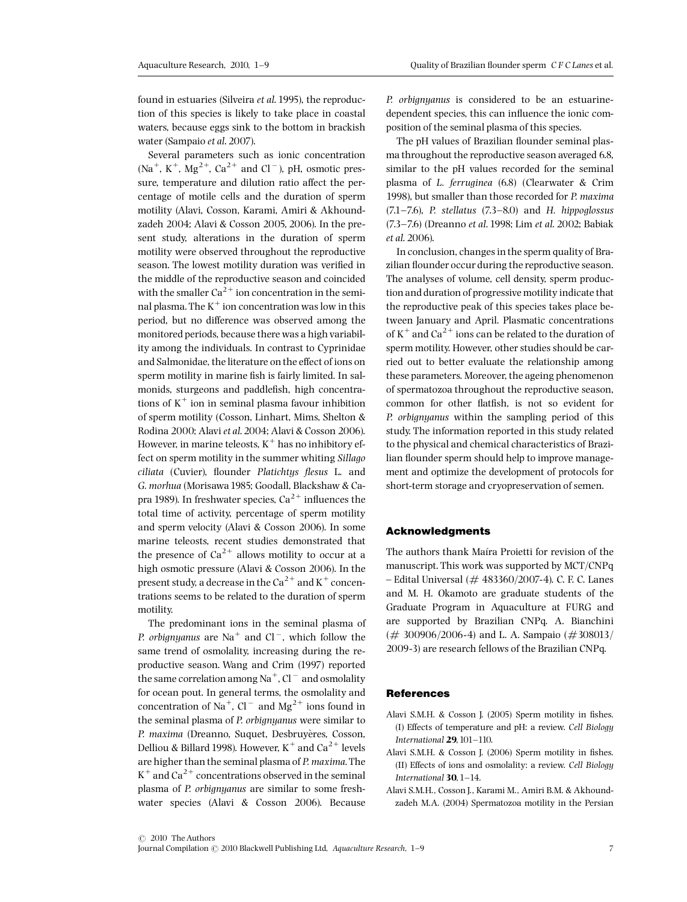found in estuaries (Silveira et al. 1995), the reproduction of this species is likely to take place in coastal waters, because eggs sink to the bottom in brackish water (Sampaio et al. 2007).

Several parameters such as ionic concentration  $(Na^+, K^+, Mg^{2+}, Ca^{2+}$  and  $Cl^-)$ , pH, osmotic pressure, temperature and dilution ratio affect the percentage of motile cells and the duration of sperm motility (Alavi, Cosson, Karami, Amiri & Akhoundzadeh 2004; Alavi & Cosson 2005, 2006). In the present study, alterations in the duration of sperm motility were observed throughout the reproductive season. The lowest motility duration was verified in the middle of the reproductive season and coincided with the smaller  $Ca^{2+}$  ion concentration in the seminal plasma. The  $K^+$  ion concentration was low in this period, but no difference was observed among the monitored periods, because there was a high variability among the individuals. In contrast to Cyprinidae and Salmonidae, the literature on the effect of ions on sperm motility in marine fish is fairly limited. In salmonids, sturgeons and paddlefish, high concentrations of  $K^+$  ion in seminal plasma favour inhibition of sperm motility (Cosson, Linhart, Mims, Shelton & Rodina 2000; Alavi et al. 2004; Alavi & Cosson 2006). However, in marine teleosts,  $K^+$  has no inhibitory effect on sperm motility in the summer whiting Sillago ciliata (Cuvier), flounder Platichtys flesus L. and G. morhua (Morisawa1985; Goodall, Blackshaw & Capra 1989). In freshwater species,  $Ca^{2+}$  influences the total time of activity, percentage of sperm motility and sperm velocity (Alavi & Cosson 2006). In some marine teleosts, recent studies demonstrated that the presence of  $Ca^{2+}$  allows motility to occur at a high osmotic pressure (Alavi & Cosson 2006). In the present study, a decrease in the  $Ca^{2+}$  and K<sup>+</sup> concentrations seems to be related to the duration of sperm motility.

The predominant ions in the seminal plasma of P. orbignyanus are Na<sup>+</sup> and Cl<sup>-</sup>, which follow the same trend of osmolality, increasing during the reproductive season. Wang and Crim (1997) reported the same correlation among Na<sup>+</sup>, Cl<sup>-</sup> and osmolality for ocean pout. In general terms, the osmolality and concentration of Na<sup>+</sup>, Cl<sup>-</sup> and Mg<sup>2+</sup> ions found in the seminal plasma of P. orbignyanus were similar to P. maxima (Dreanno, Suquet, Desbruyères, Cosson, Delliou & Billard 1998). However,  $K^+$  and Ca<sup>2+</sup> levels are higher than the seminal plasma of P. maxima. The  $K^+$  and Ca<sup>2+</sup> concentrations observed in the seminal plasma of P. orbignyanus are similar to some freshwater species (Alavi & Cosson 2006). Because P. orbignyanus is considered to be an estuarinedependent species, this can influence the ionic composition of the seminal plasma of this species.

The pH values of Brazilian flounder seminal plasma throughout the reproductive season averaged 6.8, similar to the pH values recorded for the seminal plasma of L. ferruginea (6.8) (Clearwater & Crim 1998), but smaller than those recorded for P. maxima  $(7.1 - 7.6)$ , P. stellatus  $(7.3 - 8.0)$  and H. hippoglossus (7.3-7.6) (Dreanno et al. 1998; Lim et al. 2002; Babiak et al. 2006).

In conclusion, changes in the sperm quality of Brazilian flounder occur during the reproductive season. The analyses of volume, cell density, sperm production and duration of progressive motility indicate that the reproductive peak of this species takes place between January and April. Plasmatic concentrations of  $K^+$  and  $Ca^{2+}$  ions can be related to the duration of sperm motility. However, other studies should be carried out to better evaluate the relationship among these parameters. Moreover, the ageing phenomenon of spermatozoa throughout the reproductive season, common for other flatfish, is not so evident for P. orbignyanus within the sampling period of this study. The information reported in this study related to the physical and chemical characteristics of Brazilian flounder sperm should help to improve management and optimize the development of protocols for short-term storage and cryopreservation of semen.

# Acknowledgments

The authors thank Maira Proietti for revision of the manuscript. This work was supported by MCT/CNPq  $-$  Edital Universal ( $#$  483360/2007-4). C. F. C. Lanes and M. H. Okamoto are graduate students of the Graduate Program in Aquaculture at FURG and are supported by Brazilian CNPq. A. Bianchini  $(\# 300906/2006-4)$  and L. A. Sampaio  $(\#308013/$ 2009-3) are research fellows of the Brazilian CNPq.

## References

- Alavi S.M.H. & Cosson J. (2005) Sperm motility in fishes. (I) Effects of temperature and pH: a review. Cell Biology International  $29$ ,  $101-110$ .
- Alavi S.M.H. & Cosson J. (2006) Sperm motility in fishes. (II) Effects of ions and osmolality: a review. Cell Biology International 30, 1-14.
- Alavi S.M.H., Cosson J., Karami M., Amiri B.M. & Akhoundzadeh M.A. (2004) Spermatozoa motility in the Persian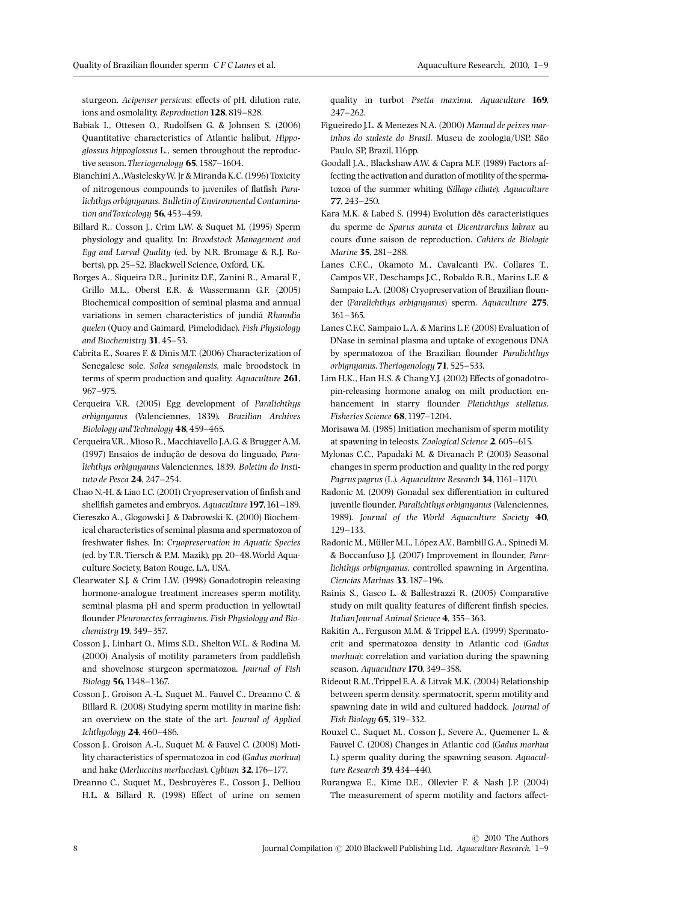sturgeon, Acipenser persicus: effects of pH, dilution rate, ions and osmolality. Reproduction 128, 819-828.

- Babiak I., Ottesen O., Rudolfsen G. & Johnsen S. (2006) Quantitative characteristics of Atlantic halibut, Hippoglossus hippoglossus L., semen throughout the reproductive season. Theriogenology  $65$ , 1587-1604.
- Bianchini A.,WasieleskyW. Jr & Miranda K.C. (1996) Toxicity of nitrogenous compounds to juveniles of flatfish Paralichthys orbignyanus. Bulletin of Environmental Contamination and Toxicology  $56, 453-459.$
- Billard R., Cosson J., Crim L.W. & Suquet M. (1995) Sperm physiology and quality. In: Broodstock Management and Egg and Larval Quality (ed. by N.R. Bromage & R.J. Roberts), pp. 25^52. Blackwell Science, Oxford, UK.
- Borges A., Siqueira D.R., Jurinitz D.F., Zanini R., Amaral F., Grillo M.L., Oberst E.R. & Wassermann G.F. (2005) Biochemical composition of seminal plasma and annual variations in semen characteristics of jundia Rhamdia quelen (Quoy and Gaimard, Pimelodidae). Fish Physiology and Biochemistry 31, 45-53.
- Cabrita E., Soares F. & Dinis M.T. (2006) Characterization of Senegalese sole, Solea senegalensis, male broodstock in terms of sperm production and quality. Aquaculture 261, 967^975.
- Cerqueira V.R. (2005) Egg development of Paralichthys orbignyanus (Valenciennes, 1839). Brazilian Archives Biolology and Technology  $48,459-465.$
- CerqueiraV.R., Mioso R., Macchiavello J.A.G. & Brugger A.M. (1997) Ensaios de inducao de desova do linguado, Paralichthys orbignyanus Valenciennes, 1839. Boletim do Instituto de Pesca 24, 247-254.
- Chao N.-H. & Liao I.C. (2001) Cryopreservation of finfish and shellfish gametes and embryos. Aquaculture 197, 161-189.
- Ciereszko A., Glogowski J. & Dabrowski K. (2000) Biochemical characteristics of seminal plasma and spermatozoa of freshwater fishes. In: Cryopreservation in Aquatic Species (ed. by T.R. Tiersch & P.M. Mazik), pp. 20^48.World Aquaculture Society, Baton Rouge, LA, USA.
- Clearwater S.J. & Crim L.W. (1998) Gonadotropin releasing hormone-analogue treatment increases sperm motility, seminal plasma pH and sperm production in yellowtail flounder Pleuronectes ferrugineus. Fish Physiology and Biochemistry **19**, 349-357.
- Cosson J., Linhart O., Mims S.D., Shelton W.L. & Rodina M.  $(2000)$  Analysis of motility parameters from paddlefish and shovelnose sturgeon spermatozoa. Journal of Fish Biology 56, 1348-1367.
- Cosson J., Groison A.-L, Suquet M., Fauvel C., Dreanno C. & Billard R. (2008) Studying sperm motility in marine fish: an overview on the state of the art. Journal of Applied Ichthyology  $24,460-486$ .
- Cosson J., Groison A.-L, Suquet M. & Fauvel C. (2008) Motility characteristics of spermatozoa in cod (Gadus morhua) and hake (Merluccius merluccius). Cybium 32, 176-177.
- Dreanno C., Suquet M., Desbruyères E., Cosson J., Delliou H.L. & Billard R. (1998) Effect of urine on semen

quality in turbot Psetta maxima. Aquaculture 169,  $247 - 262$ 

- Figueiredo J.L. & Menezes N.A. (2000) Manual de peixes marinhos do sudeste do Brasil. Museu de zoologia/USP, Sao Paulo, SP, Brazil,116pp.
- Goodall J.A., BlackshawA.W. & Capra M.F. (1989) Factors affecting the activation and duration of motility of the spermatozoa of the summer whiting (Sillago ciliate). Aquaculture 77, 243^250.
- Kara M.K. & Labed S. (1994) Evolution dês caracteristiques du sperme de Sparus aurata et Dicentrarchus labrax au cours d'une saison de reproduction. Cahiers de Biologie Marine 35, 281-288.
- Lanes C.F.C., Okamoto M., Cavalcanti P.V., Collares T., Campos V.F., Deschamps J.C., Robaldo R.B., Marins L.F. & Sampaio L.A. (2008) Cryopreservation of Brazilian flounder (Paralichthys orbignyanus) sperm. Aquaculture 275, 361^365.
- Lanes C.F.C, Sampaio L.A. & Marins L.F. (2008) Evaluation of DNase in seminal plasma and uptake of exogenous DNA by spermatozoa of the Brazilian flounder Paralichthys orbignyanus. Theriogenology 71,525^533.
- Lim H.K., Han H.S. & Chang Y.J. (2002) Effects of gonadotropin-releasing hormone analog on milt production enhancement in starry flounder Platichthys stellatus. Fisheries Science 68, 1197-1204.
- Morisawa M. (1985) Initiation mechanism of sperm motility at spawning in teleosts. Zoological Science 2,605^615.
- Mylonas C.C., Papadaki M. & Divanach P. (2003) Seasonal changes in sperm production and quality in the red porgy Pagrus pagrus (L.). Aquaculture Research 34, 1161-1170.
- Radonic M. (2009) Gonadal sex differentiation in cultured juvenile flounder, Paralichthys orbignyanus (Valenciennes, 1989). Journal of the World Aquaculture Society 40, 129^133.
- Radonic M., Müller M.I., López A.V., Bambill G.A., Spinedi M. & Boccanfuso J.J. (2007) Improvement in flounder, Paralichthys orbignyanus, controlled spawning in Argentina. Ciencias Marinas 33, 187-196.
- Rainis S., Gasco L. & Ballestrazzi R. (2005) Comparative study on milt quality features of different finfish species. Italian Journal Animal Science 4, 355-363.
- Rakitin A., Ferguson M.M. & Trippel E.A. (1999) Spermatocrit and spermatozoa density in Atlantic cod (Gadus morhua): correlation and variation during the spawning season. Aquaculture 170, 349-358.
- Rideout R.M.,Trippel E.A. & Litvak M.K. (2004) Relationship between sperm density, spermatocrit, sperm motility and spawning date in wild and cultured haddock. Journal of Fish Biology 65, 319-332.
- Rouxel C., Suquet M., Cosson J., Severe A., Quemener L. & Fauvel C. (2008) Changes in Atlantic cod (Gadus morhua L.) sperm quality during the spawning season. Aquaculture Research 39, 434-440.
- Rurangwa E., Kime D.E., Ollevier F. & Nash J.P. (2004) The measurement of sperm motility and factors affect-